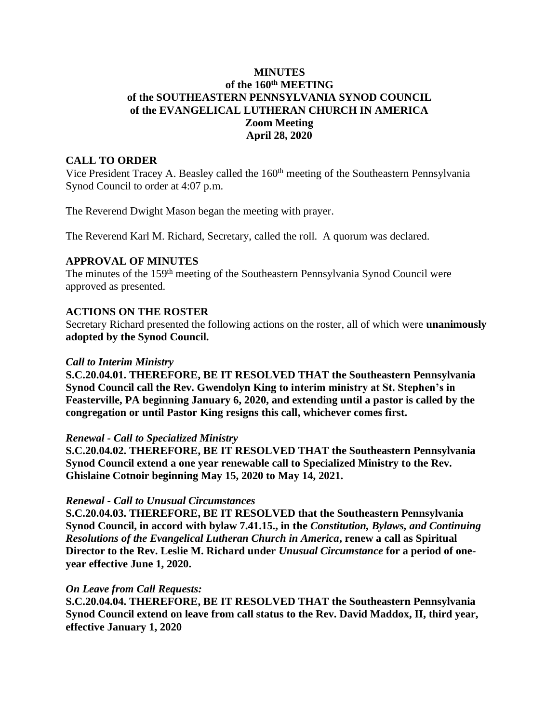# **MINUTES of the 160th MEETING of the SOUTHEASTERN PENNSYLVANIA SYNOD COUNCIL of the EVANGELICAL LUTHERAN CHURCH IN AMERICA Zoom Meeting April 28, 2020**

### **CALL TO ORDER**

Vice President Tracey A. Beasley called the 160<sup>th</sup> meeting of the Southeastern Pennsylvania Synod Council to order at 4:07 p.m.

The Reverend Dwight Mason began the meeting with prayer.

The Reverend Karl M. Richard, Secretary, called the roll. A quorum was declared.

### **APPROVAL OF MINUTES**

The minutes of the 159<sup>th</sup> meeting of the Southeastern Pennsylvania Synod Council were approved as presented.

### **ACTIONS ON THE ROSTER**

Secretary Richard presented the following actions on the roster, all of which were **unanimously adopted by the Synod Council.**

#### *Call to Interim Ministry*

**S.C.20.04.01. THEREFORE, BE IT RESOLVED THAT the Southeastern Pennsylvania Synod Council call the Rev. Gwendolyn King to interim ministry at St. Stephen's in Feasterville, PA beginning January 6, 2020, and extending until a pastor is called by the congregation or until Pastor King resigns this call, whichever comes first.**

#### *Renewal - Call to Specialized Ministry*

**S.C.20.04.02. THEREFORE, BE IT RESOLVED THAT the Southeastern Pennsylvania Synod Council extend a one year renewable call to Specialized Ministry to the Rev. Ghislaine Cotnoir beginning May 15, 2020 to May 14, 2021.**

### *Renewal - Call to Unusual Circumstances*

**S.C.20.04.03. THEREFORE, BE IT RESOLVED that the Southeastern Pennsylvania Synod Council, in accord with bylaw 7.41.15., in the** *Constitution, Bylaws, and Continuing Resolutions of the Evangelical Lutheran Church in America***, renew a call as Spiritual Director to the Rev. Leslie M. Richard under** *Unusual Circumstance* **for a period of oneyear effective June 1, 2020.**

#### *On Leave from Call Requests:*

**S.C.20.04.04. THEREFORE, BE IT RESOLVED THAT the Southeastern Pennsylvania Synod Council extend on leave from call status to the Rev. David Maddox, II, third year, effective January 1, 2020**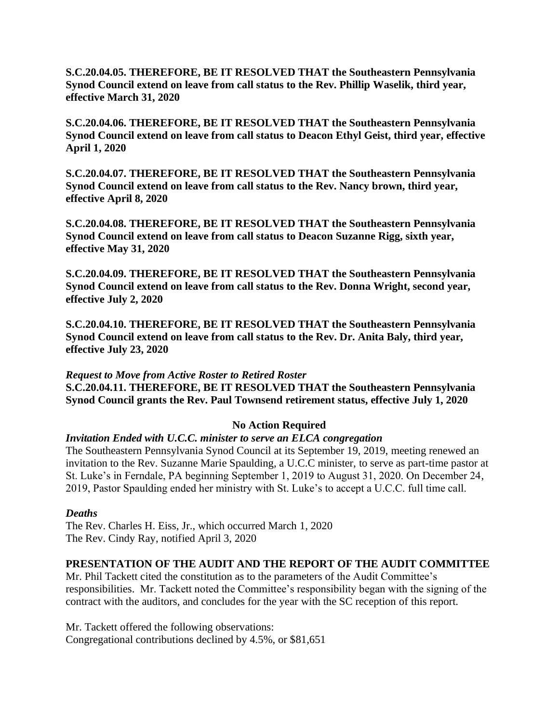**S.C.20.04.05. THEREFORE, BE IT RESOLVED THAT the Southeastern Pennsylvania Synod Council extend on leave from call status to the Rev. Phillip Waselik, third year, effective March 31, 2020**

**S.C.20.04.06. THEREFORE, BE IT RESOLVED THAT the Southeastern Pennsylvania Synod Council extend on leave from call status to Deacon Ethyl Geist, third year, effective April 1, 2020**

**S.C.20.04.07. THEREFORE, BE IT RESOLVED THAT the Southeastern Pennsylvania Synod Council extend on leave from call status to the Rev. Nancy brown, third year, effective April 8, 2020**

**S.C.20.04.08. THEREFORE, BE IT RESOLVED THAT the Southeastern Pennsylvania Synod Council extend on leave from call status to Deacon Suzanne Rigg, sixth year, effective May 31, 2020**

**S.C.20.04.09. THEREFORE, BE IT RESOLVED THAT the Southeastern Pennsylvania Synod Council extend on leave from call status to the Rev. Donna Wright, second year, effective July 2, 2020**

**S.C.20.04.10. THEREFORE, BE IT RESOLVED THAT the Southeastern Pennsylvania Synod Council extend on leave from call status to the Rev. Dr. Anita Baly, third year, effective July 23, 2020** 

*Request to Move from Active Roster to Retired Roster* **S.C.20.04.11. THEREFORE, BE IT RESOLVED THAT the Southeastern Pennsylvania Synod Council grants the Rev. Paul Townsend retirement status, effective July 1, 2020**

# **No Action Required**

### *Invitation Ended with U.C.C. minister to serve an ELCA congregation*

The Southeastern Pennsylvania Synod Council at its September 19, 2019, meeting renewed an invitation to the Rev. Suzanne Marie Spaulding, a U.C.C minister, to serve as part-time pastor at St. Luke's in Ferndale, PA beginning September 1, 2019 to August 31, 2020. On December 24, 2019, Pastor Spaulding ended her ministry with St. Luke's to accept a U.C.C. full time call.

### *Deaths*

The Rev. Charles H. Eiss, Jr., which occurred March 1, 2020 The Rev. Cindy Ray, notified April 3, 2020

### **PRESENTATION OF THE AUDIT AND THE REPORT OF THE AUDIT COMMITTEE**

Mr. Phil Tackett cited the constitution as to the parameters of the Audit Committee's responsibilities. Mr. Tackett noted the Committee's responsibility began with the signing of the contract with the auditors, and concludes for the year with the SC reception of this report.

Mr. Tackett offered the following observations: Congregational contributions declined by 4.5%, or \$81,651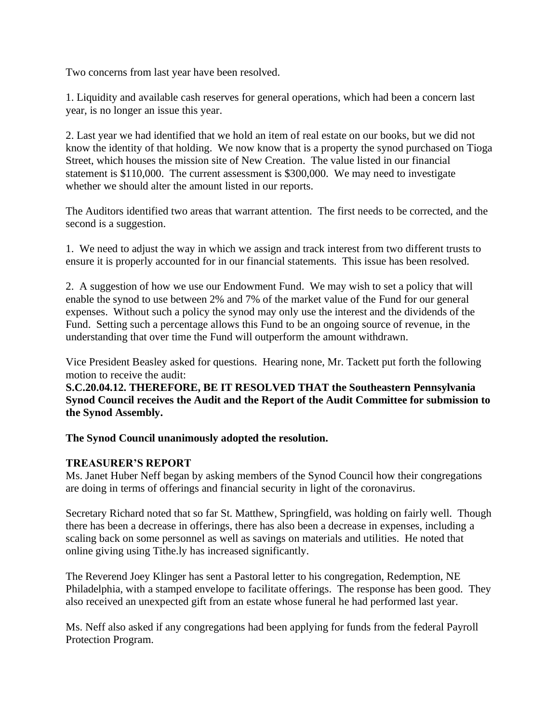Two concerns from last year have been resolved.

1. Liquidity and available cash reserves for general operations, which had been a concern last year, is no longer an issue this year.

2. Last year we had identified that we hold an item of real estate on our books, but we did not know the identity of that holding. We now know that is a property the synod purchased on Tioga Street, which houses the mission site of New Creation. The value listed in our financial statement is \$110,000. The current assessment is \$300,000. We may need to investigate whether we should alter the amount listed in our reports.

The Auditors identified two areas that warrant attention. The first needs to be corrected, and the second is a suggestion.

1. We need to adjust the way in which we assign and track interest from two different trusts to ensure it is properly accounted for in our financial statements. This issue has been resolved.

2. A suggestion of how we use our Endowment Fund. We may wish to set a policy that will enable the synod to use between 2% and 7% of the market value of the Fund for our general expenses. Without such a policy the synod may only use the interest and the dividends of the Fund. Setting such a percentage allows this Fund to be an ongoing source of revenue, in the understanding that over time the Fund will outperform the amount withdrawn.

Vice President Beasley asked for questions. Hearing none, Mr. Tackett put forth the following motion to receive the audit:

**S.C.20.04.12. THEREFORE, BE IT RESOLVED THAT the Southeastern Pennsylvania Synod Council receives the Audit and the Report of the Audit Committee for submission to the Synod Assembly.**

**The Synod Council unanimously adopted the resolution.**

# **TREASURER'S REPORT**

Ms. Janet Huber Neff began by asking members of the Synod Council how their congregations are doing in terms of offerings and financial security in light of the coronavirus.

Secretary Richard noted that so far St. Matthew, Springfield, was holding on fairly well. Though there has been a decrease in offerings, there has also been a decrease in expenses, including a scaling back on some personnel as well as savings on materials and utilities. He noted that online giving using Tithe.ly has increased significantly.

The Reverend Joey Klinger has sent a Pastoral letter to his congregation, Redemption, NE Philadelphia, with a stamped envelope to facilitate offerings. The response has been good. They also received an unexpected gift from an estate whose funeral he had performed last year.

Ms. Neff also asked if any congregations had been applying for funds from the federal Payroll Protection Program.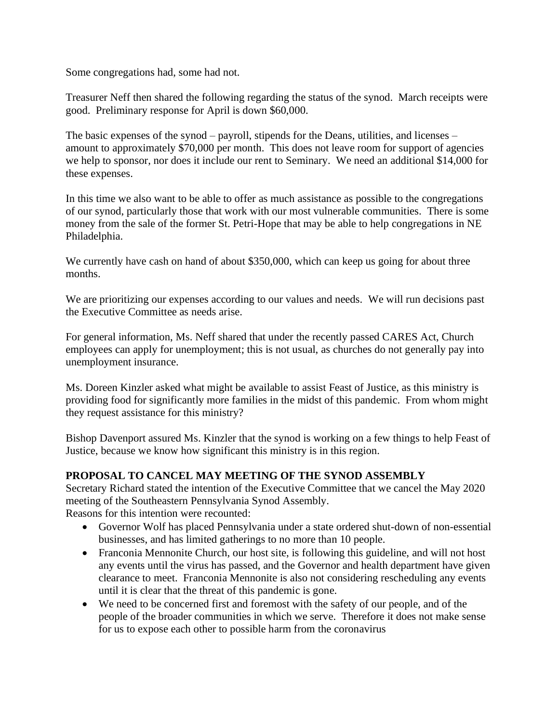Some congregations had, some had not.

Treasurer Neff then shared the following regarding the status of the synod. March receipts were good. Preliminary response for April is down \$60,000.

The basic expenses of the synod – payroll, stipends for the Deans, utilities, and licenses – amount to approximately \$70,000 per month. This does not leave room for support of agencies we help to sponsor, nor does it include our rent to Seminary. We need an additional \$14,000 for these expenses.

In this time we also want to be able to offer as much assistance as possible to the congregations of our synod, particularly those that work with our most vulnerable communities. There is some money from the sale of the former St. Petri-Hope that may be able to help congregations in NE Philadelphia.

We currently have cash on hand of about \$350,000, which can keep us going for about three months.

We are prioritizing our expenses according to our values and needs. We will run decisions past the Executive Committee as needs arise.

For general information, Ms. Neff shared that under the recently passed CARES Act, Church employees can apply for unemployment; this is not usual, as churches do not generally pay into unemployment insurance.

Ms. Doreen Kinzler asked what might be available to assist Feast of Justice, as this ministry is providing food for significantly more families in the midst of this pandemic. From whom might they request assistance for this ministry?

Bishop Davenport assured Ms. Kinzler that the synod is working on a few things to help Feast of Justice, because we know how significant this ministry is in this region.

# **PROPOSAL TO CANCEL MAY MEETING OF THE SYNOD ASSEMBLY**

Secretary Richard stated the intention of the Executive Committee that we cancel the May 2020 meeting of the Southeastern Pennsylvania Synod Assembly. Reasons for this intention were recounted:

- Governor Wolf has placed Pennsylvania under a state ordered shut-down of non-essential businesses, and has limited gatherings to no more than 10 people.
- Franconia Mennonite Church, our host site, is following this guideline, and will not host any events until the virus has passed, and the Governor and health department have given clearance to meet. Franconia Mennonite is also not considering rescheduling any events until it is clear that the threat of this pandemic is gone.
- We need to be concerned first and foremost with the safety of our people, and of the people of the broader communities in which we serve. Therefore it does not make sense for us to expose each other to possible harm from the coronavirus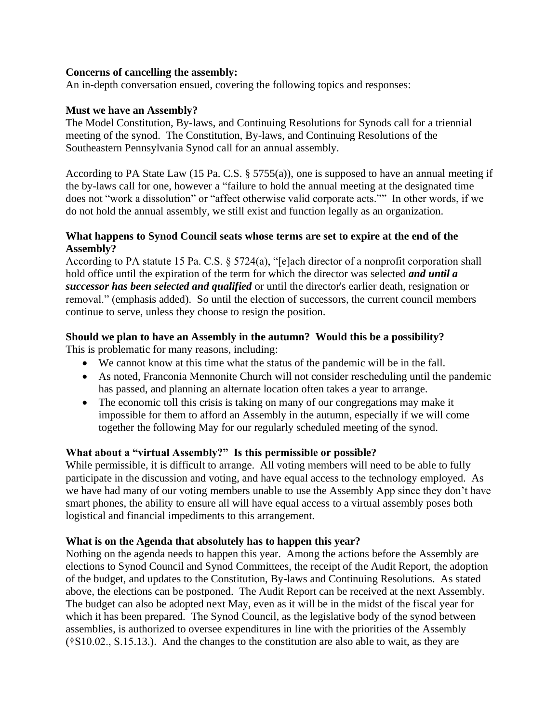### **Concerns of cancelling the assembly:**

An in-depth conversation ensued, covering the following topics and responses:

### **Must we have an Assembly?**

The Model Constitution, By-laws, and Continuing Resolutions for Synods call for a triennial meeting of the synod. The Constitution, By-laws, and Continuing Resolutions of the Southeastern Pennsylvania Synod call for an annual assembly.

According to PA State Law (15 Pa. C.S. § 5755(a)), one is supposed to have an annual meeting if the by-laws call for one, however a "failure to hold the annual meeting at the designated time does not "work a dissolution" or "affect otherwise valid corporate acts."" In other words, if we do not hold the annual assembly, we still exist and function legally as an organization.

### **What happens to Synod Council seats whose terms are set to expire at the end of the Assembly?**

According to PA statute 15 Pa. C.S. § 5724(a), "[e]ach director of a nonprofit corporation shall hold office until the expiration of the term for which the director was selected *and until a successor has been selected and qualified* or until the director's earlier death, resignation or removal." (emphasis added). So until the election of successors, the current council members continue to serve, unless they choose to resign the position.

# **Should we plan to have an Assembly in the autumn? Would this be a possibility?**

This is problematic for many reasons, including:

- We cannot know at this time what the status of the pandemic will be in the fall.
- As noted, Franconia Mennonite Church will not consider rescheduling until the pandemic has passed, and planning an alternate location often takes a year to arrange.
- The economic toll this crisis is taking on many of our congregations may make it impossible for them to afford an Assembly in the autumn, especially if we will come together the following May for our regularly scheduled meeting of the synod.

### **What about a "virtual Assembly?" Is this permissible or possible?**

While permissible, it is difficult to arrange. All voting members will need to be able to fully participate in the discussion and voting, and have equal access to the technology employed. As we have had many of our voting members unable to use the Assembly App since they don't have smart phones, the ability to ensure all will have equal access to a virtual assembly poses both logistical and financial impediments to this arrangement.

### **What is on the Agenda that absolutely has to happen this year?**

Nothing on the agenda needs to happen this year. Among the actions before the Assembly are elections to Synod Council and Synod Committees, the receipt of the Audit Report, the adoption of the budget, and updates to the Constitution, By-laws and Continuing Resolutions. As stated above, the elections can be postponed. The Audit Report can be received at the next Assembly. The budget can also be adopted next May, even as it will be in the midst of the fiscal year for which it has been prepared. The Synod Council, as the legislative body of the synod between assemblies, is authorized to oversee expenditures in line with the priorities of the Assembly (†S10.02., S.15.13.). And the changes to the constitution are also able to wait, as they are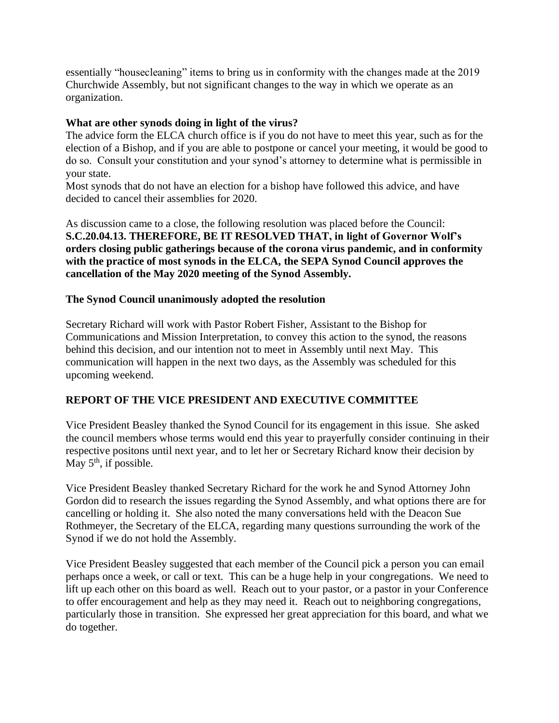essentially "housecleaning" items to bring us in conformity with the changes made at the 2019 Churchwide Assembly, but not significant changes to the way in which we operate as an organization.

### **What are other synods doing in light of the virus?**

The advice form the ELCA church office is if you do not have to meet this year, such as for the election of a Bishop, and if you are able to postpone or cancel your meeting, it would be good to do so. Consult your constitution and your synod's attorney to determine what is permissible in your state.

Most synods that do not have an election for a bishop have followed this advice, and have decided to cancel their assemblies for 2020.

As discussion came to a close, the following resolution was placed before the Council: **S.C.20.04.13. THEREFORE, BE IT RESOLVED THAT, in light of Governor Wolf's orders closing public gatherings because of the corona virus pandemic, and in conformity with the practice of most synods in the ELCA, the SEPA Synod Council approves the cancellation of the May 2020 meeting of the Synod Assembly.**

### **The Synod Council unanimously adopted the resolution**

Secretary Richard will work with Pastor Robert Fisher, Assistant to the Bishop for Communications and Mission Interpretation, to convey this action to the synod, the reasons behind this decision, and our intention not to meet in Assembly until next May. This communication will happen in the next two days, as the Assembly was scheduled for this upcoming weekend.

# **REPORT OF THE VICE PRESIDENT AND EXECUTIVE COMMITTEE**

Vice President Beasley thanked the Synod Council for its engagement in this issue. She asked the council members whose terms would end this year to prayerfully consider continuing in their respective positons until next year, and to let her or Secretary Richard know their decision by May  $5<sup>th</sup>$ , if possible.

Vice President Beasley thanked Secretary Richard for the work he and Synod Attorney John Gordon did to research the issues regarding the Synod Assembly, and what options there are for cancelling or holding it. She also noted the many conversations held with the Deacon Sue Rothmeyer, the Secretary of the ELCA, regarding many questions surrounding the work of the Synod if we do not hold the Assembly.

Vice President Beasley suggested that each member of the Council pick a person you can email perhaps once a week, or call or text. This can be a huge help in your congregations. We need to lift up each other on this board as well. Reach out to your pastor, or a pastor in your Conference to offer encouragement and help as they may need it. Reach out to neighboring congregations, particularly those in transition. She expressed her great appreciation for this board, and what we do together.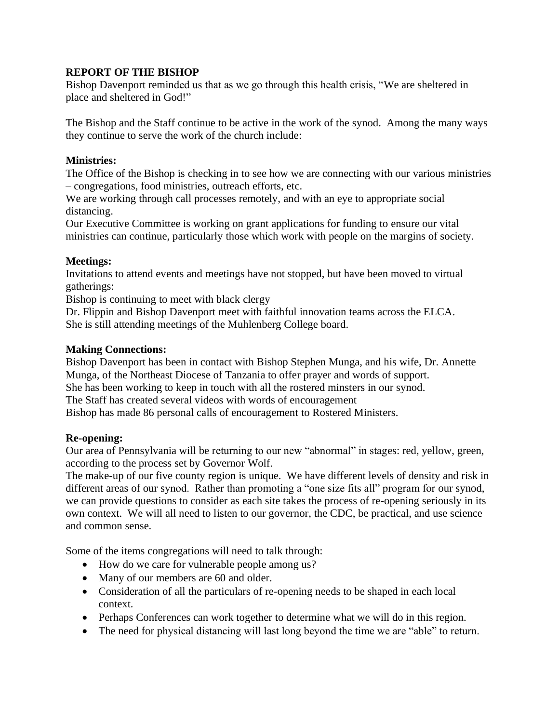# **REPORT OF THE BISHOP**

Bishop Davenport reminded us that as we go through this health crisis, "We are sheltered in place and sheltered in God!"

The Bishop and the Staff continue to be active in the work of the synod. Among the many ways they continue to serve the work of the church include:

# **Ministries:**

The Office of the Bishop is checking in to see how we are connecting with our various ministries – congregations, food ministries, outreach efforts, etc.

We are working through call processes remotely, and with an eye to appropriate social distancing.

Our Executive Committee is working on grant applications for funding to ensure our vital ministries can continue, particularly those which work with people on the margins of society.

# **Meetings:**

Invitations to attend events and meetings have not stopped, but have been moved to virtual gatherings:

Bishop is continuing to meet with black clergy

Dr. Flippin and Bishop Davenport meet with faithful innovation teams across the ELCA. She is still attending meetings of the Muhlenberg College board.

# **Making Connections:**

Bishop Davenport has been in contact with Bishop Stephen Munga, and his wife, Dr. Annette Munga, of the Northeast Diocese of Tanzania to offer prayer and words of support. She has been working to keep in touch with all the rostered minsters in our synod. The Staff has created several videos with words of encouragement Bishop has made 86 personal calls of encouragement to Rostered Ministers.

# **Re-opening:**

Our area of Pennsylvania will be returning to our new "abnormal" in stages: red, yellow, green, according to the process set by Governor Wolf.

The make-up of our five county region is unique. We have different levels of density and risk in different areas of our synod. Rather than promoting a "one size fits all" program for our synod, we can provide questions to consider as each site takes the process of re-opening seriously in its own context. We will all need to listen to our governor, the CDC, be practical, and use science and common sense.

Some of the items congregations will need to talk through:

- How do we care for vulnerable people among us?
- Many of our members are 60 and older.
- Consideration of all the particulars of re-opening needs to be shaped in each local context.
- Perhaps Conferences can work together to determine what we will do in this region.
- The need for physical distancing will last long beyond the time we are "able" to return.